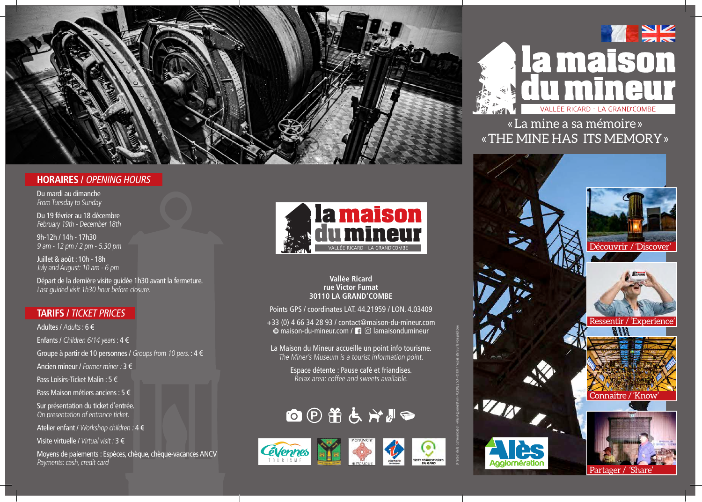

## **HORAIRES /** OPENING HOURS

Du mardi au dimanche From Tuesday to Sunday

Du 19 février au 18 décembre February 19th - December 18th

9h-12h / 14h - 17h30 9 am - 12 pm / 2 pm - 5.30 pm

Juillet & août : 10h - 18h July and August: 10 am - 6 pm

Départ de la dernière visite guidée 1h30 avant la fermeture. Last guided visit 1h30 hour before closure.

### **TARIFS /** TICKET PRICES

Adultes / Adults : 6 € Enfants / Children 6/14 years :  $4 \in$ Groupe à partir de 10 personnes / Groups from 10 pers. :  $4 \notin$ Ancien mineur / Former miner : 3 € Pass Loisirs-Ticket Malin : 5 € Pass Maison métiers anciens : 5 € Sur présentation du ticket d'entrée.

On presentation of entrance ticket.

Atelier enfant / Workshop children : 4 €

Visite virtuelle / Virtual visit : 3 €

Moyens de paiements : Espèces, chèque, chèque-vacances ANCV Payments: cash, credit card



#### **Vallée Ricard rue Victor Fumat 30110 LA GRAND'COMBE**

Points GPS / coordinates LAT. 44.21959 / LON. 4.03409

+33 (0) 4 66 34 28 93 / contact@maison-du-mineur.com  $\oplus$  maison-du-mineur.com /  $\Box$   $\odot$  lamaisondumineur

La Maison du Mineur accueille un point info tourisme. The Miner's Museum is a tourist information point.

> Espace détente : Pause café et friandises. Relax area: coffee and sweets available.

Direction de la Communication - Alès Agglomération - 03/2022 SO - © DR / ne pas jeter sur la voie publique

⊙







« La mine a sa mémoire » « THE MINE HAS ITS MEMORY »